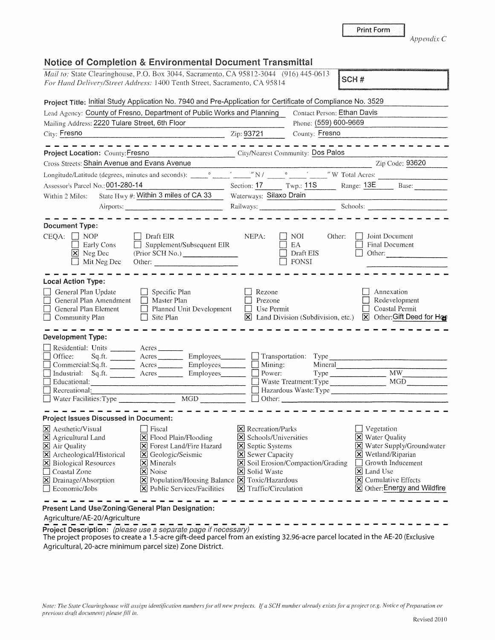|  |  | <b>Print Form</b> |  |  |
|--|--|-------------------|--|--|
|  |  |                   |  |  |
|  |  |                   |  |  |
|  |  |                   |  |  |

*Appendix C* 

| Notice of Completion & Environmental Document Transmittal                                                                                                                                                                                          |                                                                                                                                                                                                     |                                                                                                                 |                                                         |                             |                                                                                                                                                                                     |  |
|----------------------------------------------------------------------------------------------------------------------------------------------------------------------------------------------------------------------------------------------------|-----------------------------------------------------------------------------------------------------------------------------------------------------------------------------------------------------|-----------------------------------------------------------------------------------------------------------------|---------------------------------------------------------|-----------------------------|-------------------------------------------------------------------------------------------------------------------------------------------------------------------------------------|--|
| Mail to: State Clearinghouse, P.O. Box 3044, Sacramento, CA 95812-3044 (916) 445-0613<br>For Hand Delivery/Street Address: 1400 Tenth Street, Sacramento, CA 95814                                                                                 |                                                                                                                                                                                                     |                                                                                                                 |                                                         |                             | SCH#                                                                                                                                                                                |  |
| Project Title: Initial Study Application No. 7940 and Pre-Application for Certificate of Compliance No. 3529                                                                                                                                       |                                                                                                                                                                                                     |                                                                                                                 |                                                         |                             |                                                                                                                                                                                     |  |
| Lead Agency: County of Fresno, Department of Public Works and Planning                                                                                                                                                                             |                                                                                                                                                                                                     |                                                                                                                 |                                                         | Contact Person: Ethan Davis |                                                                                                                                                                                     |  |
| Mailing Address: 2220 Tulare Street, 6th Floor                                                                                                                                                                                                     |                                                                                                                                                                                                     |                                                                                                                 |                                                         | Phone: (559) 600-9669       |                                                                                                                                                                                     |  |
| City: Fresno                                                                                                                                                                                                                                       |                                                                                                                                                                                                     | Zip: 93721                                                                                                      | County: Fresno                                          |                             |                                                                                                                                                                                     |  |
| Project Location: County: Fresno                                                                                                                                                                                                                   | City/Nearest Community: Dos Palos                                                                                                                                                                   |                                                                                                                 |                                                         |                             |                                                                                                                                                                                     |  |
| Cross Streets: Shain Avenue and Evans Avenue                                                                                                                                                                                                       |                                                                                                                                                                                                     |                                                                                                                 |                                                         |                             | Zip Code: 93620                                                                                                                                                                     |  |
|                                                                                                                                                                                                                                                    |                                                                                                                                                                                                     |                                                                                                                 |                                                         |                             |                                                                                                                                                                                     |  |
| Assessor's Parcel No.: 001-280-14                                                                                                                                                                                                                  |                                                                                                                                                                                                     |                                                                                                                 |                                                         |                             | Section: 17 Twp.: 11S Range: 13E Base:                                                                                                                                              |  |
| Within 2 Miles:                                                                                                                                                                                                                                    | State Hwy #: Within 3 miles of CA 33                                                                                                                                                                | Waterways: Silaxo Drain                                                                                         |                                                         |                             |                                                                                                                                                                                     |  |
|                                                                                                                                                                                                                                                    |                                                                                                                                                                                                     |                                                                                                                 |                                                         |                             | Railways: Schools: Schools:                                                                                                                                                         |  |
|                                                                                                                                                                                                                                                    |                                                                                                                                                                                                     |                                                                                                                 |                                                         |                             |                                                                                                                                                                                     |  |
| Document Type:<br>$CEOA:$ NOP<br><b>Early Cons</b><br>X Neg Dec<br>Mit Neg Dec                                                                                                                                                                     | Draft EIR<br>$\Box$ Supplement/Subsequent EIR<br>(Prior SCH No.)<br>Other:                                                                                                                          | NEPA:                                                                                                           | NOI.<br>EA<br>Draft EIS<br>FONSI                        | Other:                      | Joint Document<br>Final Document<br>Other:                                                                                                                                          |  |
| <b>Local Action Type:</b>                                                                                                                                                                                                                          |                                                                                                                                                                                                     |                                                                                                                 |                                                         |                             |                                                                                                                                                                                     |  |
| General Plan Update<br>General Plan Amendment<br>General Plan Element<br>$\Box$ Community Plan                                                                                                                                                     | $\Box$ Specific Plan<br>$\Box$ Master Plan<br>$\Box$ Planned Unit Development<br>Site Plan<br>$\vert \ \ \vert$                                                                                     | Rezone<br>Prezone<br>Use Permit<br>$\mathsf{L}$                                                                 | <b>X</b> Land Division (Subdivision, etc.)              |                             | Annexation<br>Redevelopment<br>Coastal Permit<br>X Other: Gift Deed for Hon                                                                                                         |  |
| <b>Development Type:</b><br>Residential: Units _______ Acres ______<br>  Office:<br>□ Commercial:Sq.ft. Acres Employees Burning:<br>Industrial: Sq.ft. _______ Acres _______ Employees_______<br>Educational: Educational:<br>$\Box$ Recreational: | Sq.ft. _______ Acres ________ Employees _______ __ Transportation: Type                                                                                                                             |                                                                                                                 | Power:<br>$\Box$ Waste Treatment: Type                  | Mineral                     | MW<br><b>MGD</b><br>Hazardous Waste:Type                                                                                                                                            |  |
| Water Facilities: Type                                                                                                                                                                                                                             | MGD                                                                                                                                                                                                 |                                                                                                                 | Other: $\qquad \qquad$                                  |                             |                                                                                                                                                                                     |  |
| Project Issues Discussed in Document:                                                                                                                                                                                                              |                                                                                                                                                                                                     |                                                                                                                 |                                                         |                             |                                                                                                                                                                                     |  |
| X Aesthetic/Visual<br>X Agricultural Land<br>X Air Quality<br>X Archeological/Historical<br><b>X</b> Biological Resources<br>Coastal Zone<br>X Drainage/Absorption<br>Economic/Jobs<br>Present Land Use/Zoning/General Plan Designation:           | Fiscal<br>Elood Plain/Flooding<br>X Forest Land/Fire Hazard<br>S Geologic/Seismic<br><b>X</b> Minerals<br>X Noise<br>X Population/Housing Balance X Toxic/Hazardous<br>X Public Services/Facilities | $\vert$ <b>X</b> Recreation/Parks<br>Septic Systems<br>Sewer Capacity<br>X Solid Waste<br>X Traffic/Circulation | Schools/Universities<br>Soil Erosion/Compaction/Grading |                             | Vegetation<br><b>X</b> Water Quality<br>X Water Supply/Groundwater<br>X Wetland/Riparian<br>Growth Inducement<br>X Land Use<br>X Cumulative Effects<br>⊠ Other: Energy and Wildfire |  |
| Agriculture/AE-20/Agriculture                                                                                                                                                                                                                      |                                                                                                                                                                                                     |                                                                                                                 |                                                         |                             |                                                                                                                                                                                     |  |
| Project Description: (please use a separate page if necessary)<br>The project proposes to create a 1.5-acre gift-deed parcel from an existing 32.96-acre parcel located in the AE-20 (Exclusive                                                    |                                                                                                                                                                                                     |                                                                                                                 |                                                         |                             |                                                                                                                                                                                     |  |

Agricultural, 20-acre minimum parcel size) Zone District.